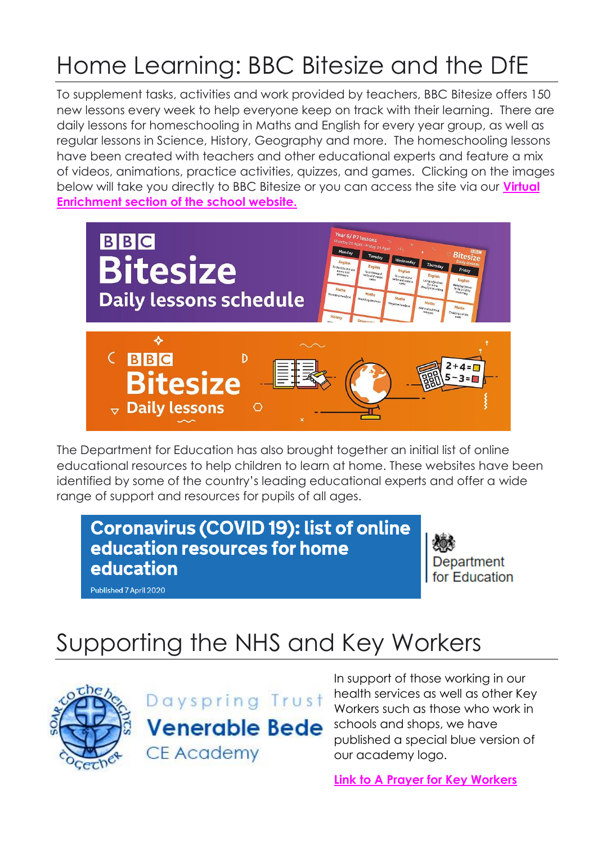# Home Learning: BBC Bitesize and the DfE

To supplement tasks, activities and work provided by teachers, BBC Bitesize offers 150 new lessons every week to help everyone keep on track with their learning. There are daily lessons for homeschooling in Maths and English for every year group, as well as regular lessons in Science, History, Geography and more. The homeschooling lessons have been created with teachers and other educational experts and feature a mix of videos, animations, practice activities, quizzes, and games. Clicking on the images below will take you directly to BBC Bitesize or you can access the site via our **[Virtual](http://www.venerablebede.co.uk/virtual-enrichment/)  [Enrichment section of the](http://www.venerablebede.co.uk/virtual-enrichment/) school website.**



The Department for Education has also brought together an initial list of online educational resources to help children to learn at home. These websites have been identified by some of the country's leading educational experts and offer a wide range of support and resources for pupils of all ages.

#### **Coronavirus (COVID 19): list of online** education resources for home education

Department for Education

Published 7 April 2020

## Supporting the NHS and Key Workers





In support of those working in our health services as well as other Key Workers such as those who work in schools and shops, we have published a special blue version of our academy logo.

**[Link to A Prayer for Key Workers](http://www.venerablebede.co.uk/vb-logo-turns-blue-in-support-of-the-nhs-and-key-workers/)**